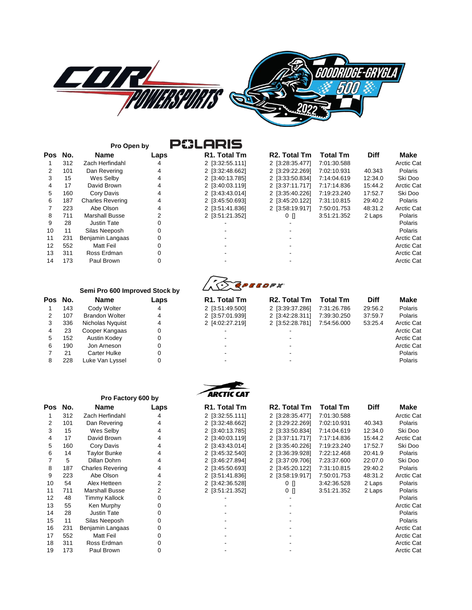

| No. | Name                    | Laps |
|-----|-------------------------|------|
| 312 | <b>Zach Herfindahl</b>  | 4    |
| 101 | Dan Revering            | 4    |
| 15  | Wes Selby               | 4    |
| 17  | David Brown             | 4    |
| 160 | Cory Davis              | 4    |
| 187 | <b>Charles Revering</b> | 4    |
| 223 | Abe Olson               | 4    |
| 711 | Marshall Busse          | 2    |
| 28  | <b>Justin Tate</b>      | 0    |
| 11  | Silas Neeposh           | 0    |
| 231 | Benjamin Langaas        | 0    |
| 552 | Matt Feil               | 0    |
| 311 | Ross Erdman             | ი    |
| 173 | Paul Brown              | ი    |
|     |                         |      |

|     |     | Pro Open by             | <b>P&amp;LARIS</b> |                           |                           |                 |             |                   |
|-----|-----|-------------------------|--------------------|---------------------------|---------------------------|-----------------|-------------|-------------------|
| Pos | No. | Name                    | Laps               | R <sub>1</sub> . Total Tm | R <sub>2</sub> . Total Tm | <b>Total Tm</b> | <b>Diff</b> | <b>Make</b>       |
|     | 312 | Zach Herfindahl         | 4                  | 2 [3:32:55.111]           | 2 [3:28:35.477]           | 7:01:30.588     |             | <b>Arctic Cat</b> |
|     | 101 | Dan Revering            | 4                  | 2 [3:32:48.662]           | 2 [3:29:22.269]           | 7:02:10.931     | 40.343      | Polaris           |
| 3   | 15  | Wes Selby               |                    | 2 [3:40:13.785]           | 2 [3:33:50.834]           | 7:14:04.619     | 12:34.0     | Ski Doo           |
| 4   | 17  | David Brown             | 4                  | 2 [3:40:03.119]           | 2 [3:37:11.717]           | 7:17:14.836     | 15:44.2     | <b>Arctic Cat</b> |
| 5.  | 160 | Corv Davis              | 4                  | 2 [3:43:43.014]           | 2 [3:35:40.226]           | 7:19:23.240     | 17:52.7     | Ski Doo           |
| 6   | 187 | <b>Charles Revering</b> | 4                  | 2 [3:45:50.693]           | 2 [3:45:20.122]           | 7:31:10.815     | 29:40.2     | Polaris           |
|     | 223 | Abe Olson               | 4                  | 2 [3:51:41.836]           | 2 [3:58:19.917]           | 7:50:01.753     | 48:31.2     | <b>Arctic Cat</b> |
| 8   | 711 | <b>Marshall Busse</b>   | 2                  | 2 [3:51:21.352]           | $0$ []                    | 3:51:21.352     | 2 Laps      | Polaris           |
| 9   | 28  | Justin Tate             | 0                  |                           |                           |                 |             | Polaris           |
| 10  | 11  | Silas Neeposh           | 0                  |                           |                           |                 |             | Polaris           |
| 11  | 231 | Benjamin Langaas        | $\Omega$           |                           |                           |                 |             | <b>Arctic Cat</b> |
| 12  | 552 | Matt Feil               | 0                  |                           |                           |                 |             | <b>Arctic Cat</b> |
| 13  | 311 | Ross Erdman             | 0                  |                           |                           |                 |             | <b>Arctic Cat</b> |
| 14  | 173 | Paul Brown              | $\Omega$           |                           |                           |                 |             | <b>Arctic Cat</b> |

## $\sqrt{2}$

|   |         | Semi Pro 600 Improved Stock by |          | $\Delta \times \Delta$    |                           |                 |             |                   |
|---|---------|--------------------------------|----------|---------------------------|---------------------------|-----------------|-------------|-------------------|
|   | Pos No. | <b>Name</b>                    | Laps     | R <sub>1</sub> . Total Tm | R <sub>2</sub> . Total Tm | <b>Total Tm</b> | <b>Diff</b> | Make              |
|   | 143     | Cody Wolter                    | 4        | 2 [3:51:49.500]           | 2 [3:39:37.286]           | 7:31:26.786     | 29:56.2     | Polaris           |
|   | 107     | <b>Brandon Wolter</b>          | 4        | 2 [3:57:01.939]           | 2 [3:42:28.311]           | 7:39:30.250     | 37:59.7     | Polaris           |
| 3 | 336     | Nicholas Nyquist               | 4        | 2 [4:02:27.219]           | 2 [3:52:28.781]           | 7:54:56.000     | 53:25.4     | <b>Arctic Cat</b> |
|   | 23      | Cooper Kangaas                 | 0        |                           |                           |                 |             | <b>Arctic Cat</b> |
| 5 | 152     | Austin Kodev                   | 0        |                           |                           |                 |             | <b>Arctic Cat</b> |
| 6 | 190     | Jon Arneson                    | $\Omega$ |                           |                           |                 |             | <b>Arctic Cat</b> |
|   | 21      | Carter Hulke                   | 0        |                           |                           |                 |             | Polaris           |
| 8 | 228     | Luke Van Lyssel                | 0        |                           |                           |                 |             | Polaris           |
|   |         |                                |          |                           |                           |                 |             |                   |



|     |     | Pro Factory 600 by      |      | AKLIIL LAI      |                           |                 |             |                   |
|-----|-----|-------------------------|------|-----------------|---------------------------|-----------------|-------------|-------------------|
| Pos | No. | <b>Name</b>             | Laps | R1. Total Tm    | R <sub>2</sub> . Total Tm | <b>Total Tm</b> | <b>Diff</b> | Make              |
|     | 312 | Zach Herfindahl         | 4    | 2 [3:32:55.111] | 2 [3:28:35.477]           | 7:01:30.588     |             | <b>Arctic Cat</b> |
| 2   | 101 | Dan Revering            | 4    | 2 [3:32:48.662] | 2 [3:29:22.269]           | 7:02:10.931     | 40.343      | Polaris           |
| 3   | 15  | Wes Selby               | 4    | 2 [3:40:13.785] | 2 [3:33:50.834]           | 7:14:04.619     | 12:34.0     | Ski Doo           |
| 4   | 17  | David Brown             | 4    | 2 [3:40:03.119] | 2 [3:37:11.717]           | 7:17:14.836     | 15:44.2     | <b>Arctic Cat</b> |
| 5   | 160 | Cory Davis              | 4    | 2 [3:43:43.014] | 2 [3:35:40.226]           | 7:19:23.240     | 17:52.7     | Ski Doo           |
| 6   | 14  | <b>Taylor Bunke</b>     | 4    | 2 [3:45:32.540] | 2 [3:36:39.928]           | 7:22:12.468     | 20:41.9     | Polaris           |
|     | 5   | Dillan Dohrn            |      | 2 [3:46:27.894] | 2 [3:37:09.706]           | 7:23:37.600     | 22:07.0     | Ski Doo           |
| 8   | 187 | <b>Charles Revering</b> | 4    | 2 [3:45:50.693] | 2 [3:45:20.122]           | 7:31:10.815     | 29:40.2     | Polaris           |
| 9   | 223 | Abe Olson               | 4    | 2 [3:51:41.836] | 2 [3:58:19.917]           | 7:50:01.753     | 48:31.2     | <b>Arctic Cat</b> |
| 10  | 54  | Alex Hetteen            |      | 2 [3:42:36.528] | 0 N                       | 3:42:36.528     | 2 Laps      | Polaris           |
| 11  | 711 | <b>Marshall Busse</b>   | 2    | 2 [3:51:21.352] | 0 []                      | 3:51:21.352     | 2 Laps      | Polaris           |
| 12  | 48  | <b>Timmy Kallock</b>    |      |                 |                           |                 |             | Polaris           |
| 13  | 55  | Ken Murphy              |      |                 |                           |                 |             | <b>Arctic Cat</b> |
| 14  | 28  | Justin Tate             |      |                 |                           |                 |             | Polaris           |
| 15  | 11  | Silas Neeposh           |      |                 |                           |                 |             | Polaris           |
| 16  | 231 | Benjamin Langaas        |      |                 |                           |                 |             | <b>Arctic Cat</b> |
| 17  | 552 | <b>Matt Feil</b>        |      |                 |                           |                 |             | <b>Arctic Cat</b> |
| 18  | 311 | Ross Erdman             |      |                 |                           |                 |             | <b>Arctic Cat</b> |
| 19  | 173 | Paul Brown              |      |                 |                           |                 |             | <b>Arctic Cat</b> |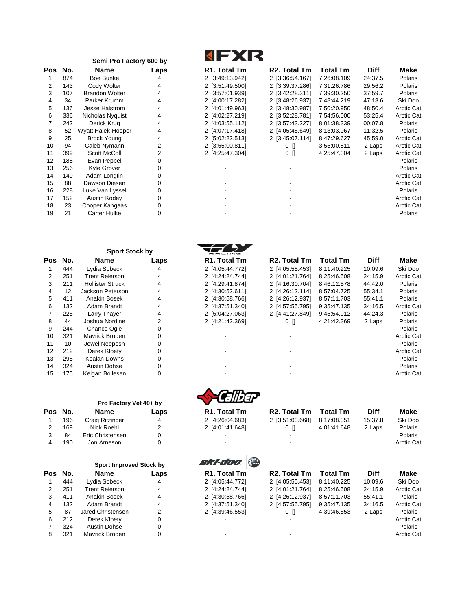|    |     | Semi Pro Factory 600 by |                |
|----|-----|-------------------------|----------------|
| οs | No. | Name                    | Laps           |
| 1  | 874 | Boe Bunke               | 4              |
| 2  | 143 | Cody Wolter             | 4              |
| 3  | 107 | <b>Brandon Wolter</b>   | 4              |
| 4  | 34  | Parker Krumm            | 4              |
| 5  | 136 | Jesse Halstrom          | 4              |
| 6  | 336 | Nicholas Nyquist        | 4              |
| 7  | 242 | Derick Krug             | 4              |
| 8  | 52  | Wyatt Halek-Hooper      | 4              |
| 9  | 25  | <b>Brock Young</b>      | 4              |
| 10 | 94  | Caleb Nymann            | 2              |
| 11 | 399 | Scott McColl            | $\overline{2}$ |
| 12 | 188 | Evan Peppel             | 0              |
| 13 | 256 | Kyle Grover             | 0              |
| 14 | 149 | Adam Longtin            | 0              |
| 15 | 88  | Dawson Diesen           | 0              |
| 16 | 228 | Luke Van Lyssel         | 0              |
| 17 | 152 | Austin Kodey            | 0              |
| 18 | 23  | Cooper Kangaas          | 0              |
| 19 | 21  | <b>Carter Hulke</b>     | 0              |

|     |     | <b>Sport Stock by</b> |                |
|-----|-----|-----------------------|----------------|
| Pos | No. | Name                  | Laps           |
| 1   | 444 | Lydia Sobeck          | 4              |
| 2   | 251 | <b>Trent Reierson</b> | 4              |
| 3   | 211 | Hollister Struck      | 4              |
| 4   | 12  | Jackson Peterson      | 4              |
| 5   | 411 | Anakin Bosek          | 4              |
| 6   | 132 | Adam Brandt           | 4              |
| 7   | 225 | Larry Thayer          | 4              |
| 8   | 44  | Joshua Nordine        | $\overline{2}$ |
| 9   | 244 | Chance Ogle           | 0              |
| 10  | 321 | Mavrick Broden        | 0              |
| 11  | 10  | Jewel Neeposh         | 0              |
| 12  | 212 | Derek Kloety          | 0              |
| 13  | 295 | Kealan Downs          | 0              |
| 14  | 324 | Austin Dohse          | 0              |
| 15  | 175 | Keigan Bollesen       | U              |

|     |     | Pro Factory Vet 40+ by |      |
|-----|-----|------------------------|------|
| Pos | No. | <b>Name</b>            | Laps |
| 1   | 196 | Craig Ritzinger        | 4    |
| 2   | 169 | Nick Roehl             | 2    |
| 3   | 84  | Eric Christensen       | 0    |
|     | 190 | Jon Arneson            |      |

|                |     | <b>Sport Improved Stock by</b> |      | $-7.17111.$               |                           |                 |             |                   |
|----------------|-----|--------------------------------|------|---------------------------|---------------------------|-----------------|-------------|-------------------|
| 'os            | No. | Name                           | Laps | R <sub>1</sub> . Total Tm | R <sub>2</sub> . Total Tm | <b>Total Tm</b> | <b>Diff</b> | Make              |
|                | 444 | Lydia Sobeck                   | 4    | 2 [4:05:44.772]           | 2 [4:05:55.453]           | 8:11:40.225     | 10:09.6     | Ski Doo           |
| $\overline{2}$ | 251 | Trent Reierson                 | 4    | 2 [4:24:24.744]           | 2 [4:01:21.764]           | 8:25:46.508     | 24:15.9     | <b>Arctic Cat</b> |
| 3              | 411 | Anakin Bosek                   | 4    | 2 [4:30:58.766]           | 2 [4:26:12.937]           | 8:57:11.703     | 55:41.1     | Polaris           |
| 4              | 132 | Adam Brandt                    | 4    | 2 [4:37:51.340]           | 2 [4:57:55.795]           | 9:35:47.135     | 34:16.5     | <b>Arctic Cat</b> |
| 5              | 87  | Jared Christensen              | 2    | 2 [4:39:46.553]           | $0$ $\prod$               | 4:39:46.553     | 2 Laps      | Polaris           |
| 6              | 212 | Derek Kloety                   | 0    |                           |                           |                 |             | <b>Arctic Cat</b> |
|                | 324 | Austin Dohse                   | 0    |                           |                           |                 |             | Polaris           |
| 8              | 321 | <b>Mayrick Broden</b>          |      |                           |                           |                 |             | <b>Arctic Cat</b> |

|--|

| Pos | No. | <b>Name</b>           | Laps | R1. Total Tm    | R <sub>2</sub> . Total Tm | <b>Total Tm</b> | <b>Diff</b> | Make              |
|-----|-----|-----------------------|------|-----------------|---------------------------|-----------------|-------------|-------------------|
|     | 874 | Boe Bunke             |      | 2 [3:49:13.942] | 2 [3:36:54.167]           | 7:26:08.109     | 24:37.5     | Polaris           |
| 2   | 143 | Cody Wolter           |      | 2 [3:51:49.500] | 2 [3:39:37.286]           | 7:31:26.786     | 29:56.2     | Polaris           |
| 3   | 107 | <b>Brandon Wolter</b> |      | 2 [3:57:01.939] | 2 [3:42:28.311]           | 7:39:30.250     | 37:59.7     | Polaris           |
| 4   | 34  | Parker Krumm          | 4    | 2 [4:00:17.282] | 2 [3:48:26.937]           | 7:48:44.219     | 47:13.6     | Ski Doo           |
| 5.  | 136 | Jesse Halstrom        | 4    | 2 [4:01:49.963] | 2 [3:48:30.987]           | 7:50:20.950     | 48:50.4     | <b>Arctic Cat</b> |
| 6   | 336 | Nicholas Nyquist      |      | 2 [4:02:27.219] | 2 [3:52:28.781]           | 7:54:56.000     | 53:25.4     | <b>Arctic Cat</b> |
|     | 242 | Derick Krug           |      | 2 [4:03:55.112] | 2 [3:57:43.227]           | 8:01:38.339     | 00:07.8     | Polaris           |
| 8   | 52  | Wyatt Halek-Hooper    |      | 2 [4:07:17.418] | 2 [4:05:45.649]           | 8:13:03.067     | 11:32.5     | Polaris           |
| 9   | 25  | <b>Brock Young</b>    | 4    | 2 [5:02:22.513] | 2 [3:45:07.114]           | 8:47:29.627     | 45:59.0     | <b>Arctic Cat</b> |
| 10  | 94  | Caleb Nymann          |      | 2 [3:55:00.811] | $0$ $\Box$                | 3:55:00.811     | 2 Laps      | <b>Arctic Cat</b> |
| 11  | 399 | Scott McColl          |      | 2 [4:25:47.304] | 0 []                      | 4:25:47.304     | 2 Laps      | <b>Arctic Cat</b> |
| 12  | 188 | Evan Peppel           |      |                 |                           |                 |             | Polaris           |
| 13  | 256 | Kyle Grover           |      |                 |                           |                 |             | Polaris           |
| 14  | 149 | Adam Longtin          |      |                 |                           |                 |             | <b>Arctic Cat</b> |
| 15  | 88  | Dawson Diesen         |      |                 |                           |                 |             | <b>Arctic Cat</b> |
| 16  | 228 | Luke Van Lyssel       |      |                 |                           |                 |             | Polaris           |
| 17  | 152 | Austin Kodey          |      |                 |                           |                 |             | <b>Arctic Cat</b> |
| 18  | 23  | Cooper Kangaas        |      |                 |                           |                 |             | <b>Arctic Cat</b> |
| 19  | 21  | Carter Hulke          |      |                 |                           |                 |             | Polaris           |

|     |     | <b>Sport Stock by</b>   |      |                                     |                           |                 |             |                   |
|-----|-----|-------------------------|------|-------------------------------------|---------------------------|-----------------|-------------|-------------------|
| Pos | No. | <b>Name</b>             | Laps | RACING<br>R <sub>1</sub> . Total Tm | R <sub>2</sub> . Total Tm | <b>Total Tm</b> | <b>Diff</b> | Make              |
|     | 444 | Lydia Sobeck            | 4    | 2 [4:05:44.772]                     | 2 [4:05:55.453]           | 8:11:40.225     | 10:09.6     | Ski Doo           |
| 2   | 251 | <b>Trent Reierson</b>   | 4    | 2 [4:24:24.744]                     | 2 [4:01:21.764]           | 8:25:46.508     | 24:15.9     | <b>Arctic Cat</b> |
| 3   | 211 | <b>Hollister Struck</b> | 4    | 2 [4:29:41.874]                     | 2 [4:16:30.704]           | 8:46:12.578     | 44:42.0     | Polaris           |
| 4   | 12  | Jackson Peterson        | 4    | 2 [4:30:52.611]                     | 2 [4:26:12.114]           | 8:57:04.725     | 55:34.1     | Polaris           |
| 5.  | 411 | Anakin Bosek            | 4    | 2 [4:30:58.766]                     | 2 [4:26:12.937]           | 8:57:11.703     | 55:41.1     | Polaris           |
| 6   | 132 | Adam Brandt             | 4    | 2 [4:37:51.340]                     | 2 [4:57:55.795]           | 9:35:47.135     | 34:16.5     | <b>Arctic Cat</b> |
|     | 225 | Larry Thayer            | 4    | 2 [5:04:27.063]                     | 2 [4:41:27.849]           | 9:45:54.912     | 44:24.3     | Polaris           |
| 8   | 44  | Joshua Nordine          |      | 2 [4:21:42.369]                     | $0$ $\prod$               | 4:21:42.369     | 2 Laps      | Polaris           |
| 9   | 244 | Chance Ogle             |      |                                     |                           |                 |             | Polaris           |
| 10  | 321 | Mavrick Broden          |      |                                     |                           |                 |             | <b>Arctic Cat</b> |
| 11  | 10  | Jewel Neeposh           |      |                                     |                           |                 |             | Polaris           |
| 12  | 212 | Derek Kloety            | 0    |                                     |                           |                 |             | <b>Arctic Cat</b> |
| 13  | 295 | Kealan Downs            |      |                                     |                           |                 |             | Polaris           |
| 14  | 324 | <b>Austin Dohse</b>     |      |                                     |                           |                 |             | Polaris           |
| 15  | 175 | Keigan Bollesen         |      |                                     |                           |                 |             | <b>Arctic Cat</b> |



| Pos | No. | <b>Name</b>                    | Laps | R <sub>1</sub> . Total Tm | R <sub>2</sub> . Total Tm | <b>Total Tm</b> | <b>Diff</b> | Make              |
|-----|-----|--------------------------------|------|---------------------------|---------------------------|-----------------|-------------|-------------------|
|     | 196 | Craig Ritzinger                | 4    | 2 [4:26:04.683]           | 2 [3:51:03.668]           | 8:17:08.351     | 15:37.8     | Ski Doo           |
| 2   | 169 | Nick Roehl                     | 2    | 2 [4:01:41.648]           | 0 N                       | 4:01:41.648     | 2 Laps      | <b>Polaris</b>    |
| 3   | 84  | Eric Christensen               |      |                           |                           |                 |             | Polaris           |
| 4   | 190 | Jon Arneson                    | 0    |                           |                           |                 |             | Arctic Cat        |
|     |     | <b>Sport Improved Stock by</b> |      | $\bigodot$<br>ski-doo.    |                           |                 |             |                   |
| Pos | No. | <b>Name</b>                    | Laps | R <sub>1</sub> . Total Tm | R <sub>2</sub> . Total Tm | <b>Total Tm</b> | <b>Diff</b> | Make              |
|     | 444 | Lydia Sobeck                   | 4    | 2 [4:05:44.772]           | 2 [4:05:55.453]           | 8:11:40.225     | 10:09.6     | Ski Doo           |
|     | 251 | <b>Trent Reierson</b>          | 4    | 2 [4:24:24.744]           | 2 [4:01:21.764]           | 8:25:46.508     | 24:15.9     | <b>Arctic Cat</b> |
| 3   | 411 | Anakin Bosek                   | 4    | 2 [4:30:58.766]           | 2 [4:26:12.937]           | 8:57:11.703     | 55:41.1     | Polaris           |
| 4   | 132 | Adam Brandt                    | 4    | 2 [4:37:51.340]           | 2 [4:57:55.795]           | 9:35:47.135     | 34:16.5     | <b>Arctic Cat</b> |
| 5.  | 87  | Jared Christensen              |      | 2 [4:39:46.553]           | 0 N                       | 4:39:46.553     | 2 Laps      | Polaris           |
| 6   | 212 | Derek Kloety                   |      |                           |                           |                 |             | <b>Arctic Cat</b> |
|     |     |                                |      |                           |                           |                 |             |                   |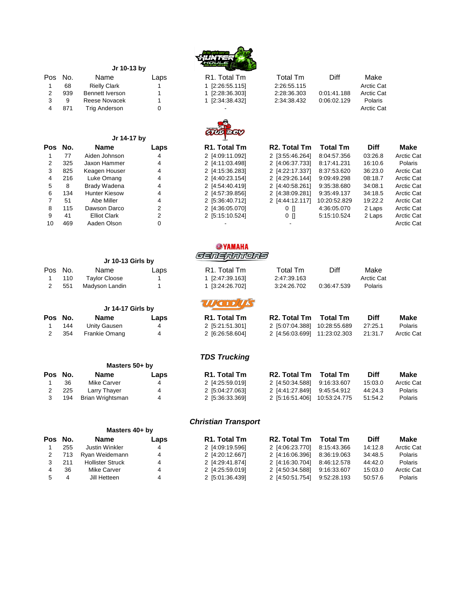

| Pos | No. | Name                   | Laps | R <sub>1</sub> . Total Tm | Total Tm                  | Diff            | Make        |                   |
|-----|-----|------------------------|------|---------------------------|---------------------------|-----------------|-------------|-------------------|
|     | 68  | <b>Rielly Clark</b>    |      | 1 [2:26:55.115]           | 2:26:55.115               |                 | Arctic Cat  |                   |
| 2   | 939 | <b>Bennett Iverson</b> |      | 1 [2:28:36.303]           | 2:28:36.303               | 0:01:41.188     | Arctic Cat  |                   |
| 3   | 9   | Reese Novacek          |      | 1 [2:34:38.432]           | 2:34:38.432               | 0:06:02.129     | Polaris     |                   |
| 4   | 871 | <b>Trig Anderson</b>   | 0    |                           |                           |                 | Arctic Cat  |                   |
|     |     |                        |      |                           |                           |                 |             |                   |
|     |     | Jr 14-17 by            |      | <b>GTUDEOY</b>            |                           |                 |             |                   |
| Pos | No. | <b>Name</b>            | Laps | R1. Total Tm              | R <sub>2</sub> . Total Tm | <b>Total Tm</b> | <b>Diff</b> | Make              |
|     | 77  | Aiden Johnson          | 4    | 2 [4:09:11.092]           | 2 [3:55:46.264]           | 8:04:57.356     | 03:26.8     | <b>Arctic Cat</b> |
| 2   | 325 | Jaxon Hammer           | 4    | 2 [4:11:03.498]           | 2 [4:06:37.733]           | 8:17:41.231     | 16:10.6     | Polaris           |
| 3   | 825 | Keagen Houser          | 4    | 2 [4:15:36.283]           | 2 [4:22:17.337]           | 8:37:53.620     | 36:23.0     | <b>Arctic Cat</b> |
| 4   | 216 | Luke Omang             | 4    | 2 [4:40:23.154]           | 2 [4:29:26.144]           | 9:09:49.298     | 08:18.7     | <b>Arctic Cat</b> |
| 5   | 8   | Brady Wadena           | 4    | 2 [4:54:40.419]           | 2 [4:40:58.261]           | 9:35:38.680     | 34:08.1     | <b>Arctic Cat</b> |
| 6   | 134 | <b>Hunter Kiesow</b>   | 4    | 2 [4:57:39.856]           | 2 [4:38:09.281]           | 9:35:49.137     | 34:18.5     | <b>Arctic Cat</b> |
|     | 51  | Abe Miller             | 4    | 2 [5:36:40.712]           | 2 [4:44:12.117]           | 10:20:52.829    | 19:22.2     | <b>Arctic Cat</b> |
| 8   | 115 | Dawson Darco           | 2    | 2 [4:36:05.070]           | 0 N                       | 4:36:05.070     | 2 Laps      | <b>Arctic Cat</b> |
| 9   | 41  | <b>Elliot Clark</b>    |      | 2 [5:15:10.524]           | 0 []                      | 5:15:10.524     | 2 Laps      | <b>Arctic Cat</b> |
| 10  | 469 | Aaden Olson            |      |                           |                           |                 |             | <b>Arctic Cat</b> |

|     |     | Jr 10-13 Girls by    |      | <i>Sanaramors</i>         |             |             |            |  |
|-----|-----|----------------------|------|---------------------------|-------------|-------------|------------|--|
| Pos | No. | Name                 | Laps | R <sub>1</sub> . Total Tm | Total Tm    | Diff        | Make       |  |
|     | 110 | <b>Taylor Cloose</b> |      | 1 [2:47:39.163]           | 2:47:39.163 |             | Arctic Cat |  |
|     | 551 | Madyson Landin       |      | 1 [3:24:26.702]           | 3:24:26.702 | 0:36:47.539 | Polaris    |  |
|     |     | Jr 14-17 Girls by    |      |                           |             |             |            |  |

**@YAMAHA** 

| Pos No. |      | Name          | Laps | R <sub>1</sub> . Total Tm | R2. Total Tm Total Tm        | <b>Diff</b> | Make              |
|---------|------|---------------|------|---------------------------|------------------------------|-------------|-------------------|
|         | 144  | Unity Gausen  |      | 2 [5:21:51.301]           | 2 [5:07:04.388] 10:28:55.689 | 27:25.1     | Polaris           |
|         | -354 | Frankie Omang |      | 2 [6:26:58.604]           |                              | 21:31.7     | <b>Arctic Cat</b> |

### *TDS Trucking*

|     | Name             | Laps | R <sub>1</sub> . Total Tm | R <sub>2</sub> . Total Tm | <b>Total Tm</b> | <b>Diff</b>                                                                   | Make              |
|-----|------------------|------|---------------------------|---------------------------|-----------------|-------------------------------------------------------------------------------|-------------------|
| 36  | Mike Carver      | 4    | 2 [4:25:59.019]           |                           |                 | 15:03.0                                                                       | <b>Arctic Cat</b> |
| 225 | Larry Thaver     | 4    | 2 [5:04:27.063]           |                           |                 | 44:24.3                                                                       | Polaris           |
| 194 | Brian Wrightsman | 4    | 2 [5:36:33.369]           | 2 [5:16:51.406]           |                 | 51:54.2                                                                       | Polaris           |
|     | Pos No.          |      | Masters 50+ by            |                           |                 | 2 [4:50:34.588] 9:16:33.607<br>9:45:54.912<br>2 [4:41:27.849]<br>10:53:24.775 |                   |

#### *Christian Transport*

|                | Masters 40+ by          |      |                           |                           |             |                                                                                                  |                   |
|----------------|-------------------------|------|---------------------------|---------------------------|-------------|--------------------------------------------------------------------------------------------------|-------------------|
|                | Name                    | Laps | R <sub>1</sub> . Total Tm | R <sub>2</sub> . Total Tm | Total Tm    | <b>Diff</b>                                                                                      | Make              |
| 255            | Justin Winkler          | 4    | 2 [4:09:19.596]           | 2 [4:06:23.770]           | 8:15:43.366 | 14:12.8                                                                                          | <b>Arctic Cat</b> |
| 713            | Ryan Weidemann          | 4    | 2 [4:20:12.667]           |                           | 8:36:19.063 | 34:48.5                                                                                          | Polaris           |
| 211            | <b>Hollister Struck</b> | 4    | 2 [4:29:41.874]           |                           |             | 44:42.0                                                                                          | Polaris           |
| 36             | Mike Carver             | 4    | 2 [4:25:59.019]           |                           | 9:16:33.607 | 15:03.0                                                                                          | <b>Arctic Cat</b> |
| $\overline{4}$ | Jill Hetteen            | 4    | 2 [5:01:36.439]           |                           |             | 50:57.6                                                                                          | Polaris           |
|                | Pos No.                 |      |                           |                           |             | 2 [4:16:06.396]<br>2 [4:16:30.704] 8:46:12.578<br>2 [4:50:34.588]<br>2 [4:50:51.754] 9:52:28.193 |                   |

|    |     | Jr 10-13 by            |      |
|----|-----|------------------------|------|
| os | No. | Name                   | Laps |
|    | 68  | <b>Rielly Clark</b>    |      |
| 2  | 939 | <b>Bennett Iverson</b> | 1    |
| 3  | 9   | Reese Novacek          | 1    |
| 4  | 871 | <b>Trig Anderson</b>   | ი    |

#### **Jr 14-17 by**

| οs             | No. | <b>Name</b>         |                |
|----------------|-----|---------------------|----------------|
| 1              | 77  | Aiden Johnson       | 4              |
| 2              | 325 | Jaxon Hammer        | 4              |
| 3              | 825 | Keagen Houser       | 4              |
| $\overline{4}$ | 216 | Luke Omang          | 4              |
| 5              | 8   | Brady Wadena        | 4              |
| 6              | 134 | Hunter Kiesow       | 4              |
| $\overline{7}$ | 51  | Abe Miller          | 4              |
| 8              | 115 | Dawson Darco        | $\overline{2}$ |
| 9              | 41  | <b>Elliot Clark</b> | $\overline{2}$ |
| 10             | 469 | Aaden Olson         | ი              |

 $\mathcal{L}^{\pm}$